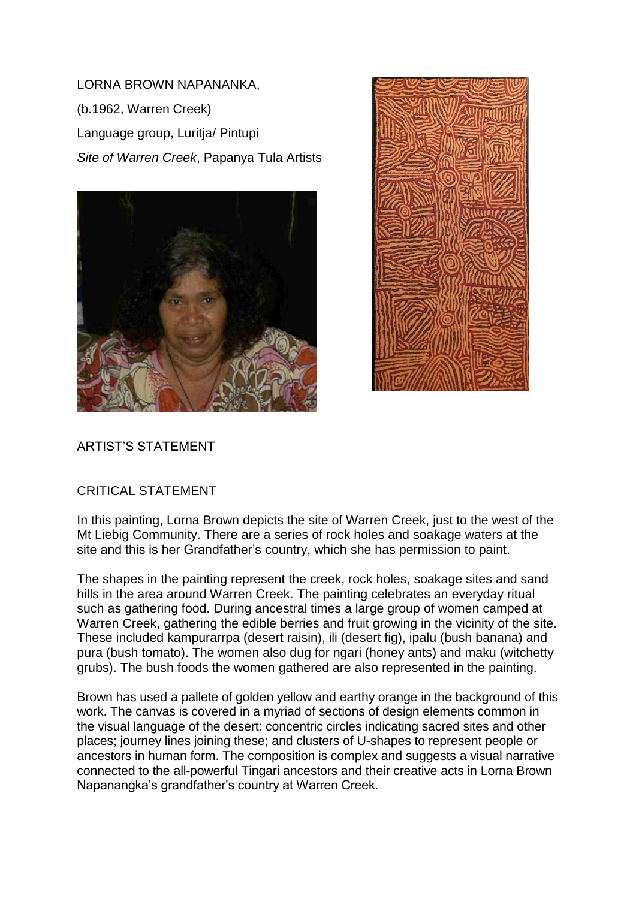LORNA BROWN NAPANANKA, (b.1962, Warren Creek) Language group, Luritja/ Pintupi *Site of Warren Creek*, Papanya Tula Artists





## ARTIST'S STATEMENT

## CRITICAL STATEMENT

In this painting, Lorna Brown depicts the site of Warren Creek, just to the west of the Mt Liebig Community. There are a series of rock holes and soakage waters at the site and this is her Grandfather's country, which she has permission to paint.

The shapes in the painting represent the creek, rock holes, soakage sites and sand hills in the area around Warren Creek. The painting celebrates an everyday ritual such as gathering food. During ancestral times a large group of women camped at Warren Creek, gathering the edible berries and fruit growing in the vicinity of the site. These included kampurarrpa (desert raisin), ili (desert fig), ipalu (bush banana) and pura (bush tomato). The women also dug for ngari (honey ants) and maku (witchetty grubs). The bush foods the women gathered are also represented in the painting.

Brown has used a pallete of golden yellow and earthy orange in the background of this work. The canvas is covered in a myriad of sections of design elements common in the visual language of the desert: concentric circles indicating sacred sites and other places; journey lines joining these; and clusters of U-shapes to represent people or ancestors in human form. The composition is complex and suggests a visual narrative connected to the all-powerful Tingari ancestors and their creative acts in Lorna Brown Napanangka's grandfather's country at Warren Creek.